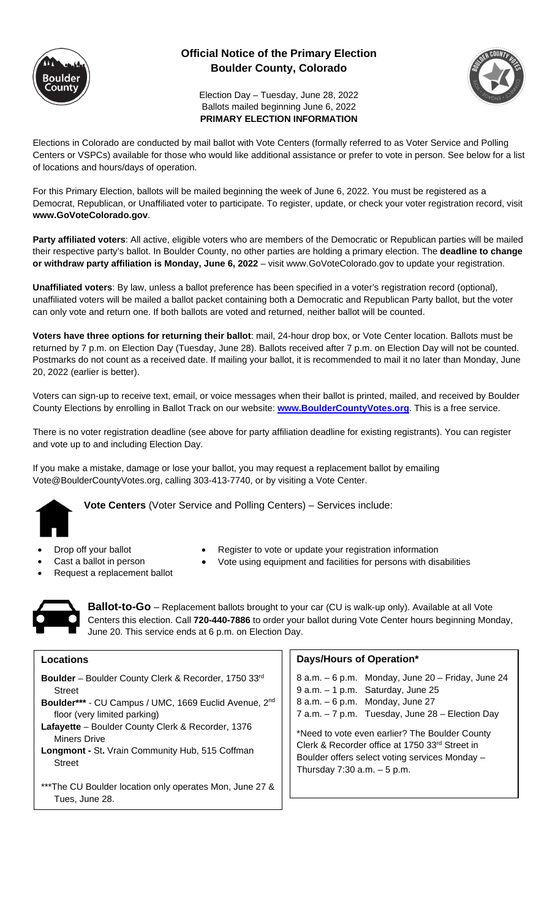

## **Official Notice of the Primary Election Boulder County, Colorado**



Election Day – Tuesday, June 28, 2022 Ballots mailed beginning June 6, 2022 **PRIMARY ELECTION INFORMATION**

Elections in Colorado are conducted by mail ballot with Vote Centers (formally referred to as Voter Service and Polling Centers or VSPCs) available for those who would like additional assistance or prefer to vote in person. See below for a list of locations and hours/days of operation.

For this Primary Election, ballots will be mailed beginning the week of June 6, 2022. You must be registered as a Democrat, Republican, or Unaffiliated voter to participate. To register, update, or check your voter registration record, visit **www.GoVoteColorado.gov**.

Party affiliated voters: All active, eligible voters who are members of the Democratic or Republican parties will be mailed their respective party's ballot. In Boulder County, no other parties are holding a primary election. The **deadline to change or withdraw party affiliation is Monday, June 6, 2022** – visit www.GoVoteColorado.gov to update your registration.

**Unaffiliated voters**: By law, unless a ballot preference has been specified in a voter's registration record (optional), unaffiliated voters will be mailed a ballot packet containing both a Democratic and Republican Party ballot, but the voter can only vote and return one. If both ballots are voted and returned, neither ballot will be counted.

**Voters have three options for returning their ballot**: mail, 24-hour drop box, or Vote Center location. Ballots must be returned by 7 p.m. on Election Day (Tuesday, June 28). Ballots received after 7 p.m. on Election Day will not be counted. Postmarks do not count as a received date. If mailing your ballot, it is recommended to mail it no later than Monday, June 20, 2022 (earlier is better).

Voters can sign-up to receive text, email, or voice messages when their ballot is printed, mailed, and received by Boulder County Elections by enrolling in Ballot Track on our website: **www.BoulderCountyVotes.org**. This is a free service.

There is no voter registration deadline (see above for party affiliation deadline for existing registrants). You can register and vote up to and including Election Day.

If you make a mistake, damage or lose your ballot, you may request a replacement ballot by emailing Vote@BoulderCountyVotes.org, calling 303-413-7740, or by visiting a Vote Center.



**Vote Centers** (Voter Service and Polling Centers) – Services include:

- - Drop off your ballot Register to vote or update your registration information
- 
- Request a replacement ballot
- 
- Cast a ballot in person Vote using equipment and facilities for persons with disabilities
- 

**Ballot-to-Go** – Replacement ballots brought to your car (CU is walk-up only). Available at all Vote Centers this election. Call **720-440-7886** to order your ballot during Vote Center hours beginning Monday, June 20. This service ends at 6 p.m. on Election Day.

## **Locations**

- **Boulder** Boulder County Clerk & Recorder, 1750 33rd Street
- **Boulder\*\*\*** CU Campus / UMC, 1669 Euclid Avenue, 2nd floor (very limited parking)
- **Lafayette** Boulder County Clerk & Recorder, 1376 Miners Drive
- **Longmont -** St**.** Vrain Community Hub, 515 Coffman Street
- \*\*\*The CU Boulder location only operates Mon, June 27 & Tues, June 28.

## **Days/Hours of Operation\***

|                                                | 8 a.m. - 6 p.m. Monday, June 20 - Friday, June 24 |
|------------------------------------------------|---------------------------------------------------|
|                                                | $9$ a.m. $-1$ p.m. Saturday, June 25              |
|                                                | $8$ a.m. $-6$ p.m. Monday, June 27                |
|                                                | 7 a.m. $-7$ p.m. Tuesday, June 28 – Election Day  |
| *Nood to vote oven corlier? The Poulder County |                                                   |

eed to vote even earlier? The Boulder County Clerk & Recorder office at 1750 33rd Street in Boulder offers select voting services Monday – Thursday  $7:30$  a.m.  $-5$  p.m.